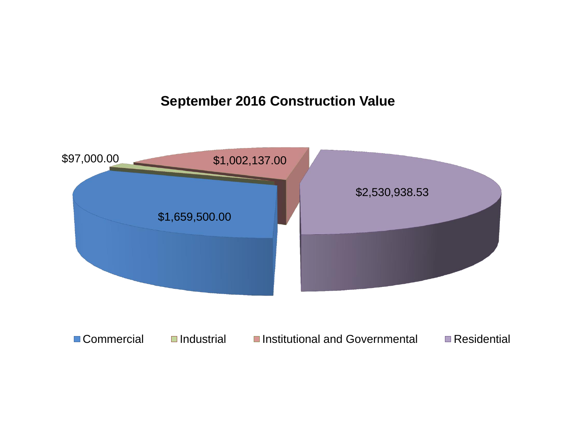## **September 2016 Construction Value**

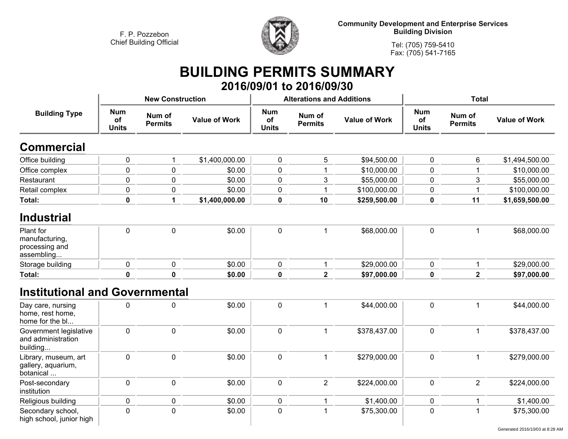**Religious building**

**Secondary school, high school, junior high** **0**



**Community Development and Enterprise Services Building Division**

> **Tel: (705) 759-5410Fax: (705) 541-7165**

## **BUILDING PERMITS SUMMARY 2016/09/01 to 2016/09/30**

| <b>Building Type</b>                                        |                                  | <b>New Construction</b>  |                      |                                  | <b>Alterations and Additions</b> |                      | <b>Total</b>                            |                          |                      |
|-------------------------------------------------------------|----------------------------------|--------------------------|----------------------|----------------------------------|----------------------------------|----------------------|-----------------------------------------|--------------------------|----------------------|
|                                                             | <b>Num</b><br>of<br><b>Units</b> | Num of<br><b>Permits</b> | <b>Value of Work</b> | <b>Num</b><br>of<br><b>Units</b> | Num of<br><b>Permits</b>         | <b>Value of Work</b> | <b>Num</b><br><b>of</b><br><b>Units</b> | Num of<br><b>Permits</b> | <b>Value of Work</b> |
| <b>Commercial</b>                                           |                                  |                          |                      |                                  |                                  |                      |                                         |                          |                      |
| Office building                                             | 0                                | $\mathbf{1}$             | \$1,400,000.00       | $\pmb{0}$                        | 5                                | \$94,500.00          | $\mathbf 0$                             | 6                        | \$1,494,500.00       |
| Office complex                                              | $\mathbf 0$                      | $\mathbf 0$              | \$0.00               | $\pmb{0}$                        |                                  | \$10,000.00          | $\mathbf 0$                             |                          | \$10,000.00          |
| Restaurant                                                  | 0                                | 0                        | \$0.00               | $\pmb{0}$                        | 3                                | \$55,000.00          | $\mathbf 0$                             | 3                        | \$55,000.00          |
| Retail complex                                              | 0                                | 0                        | \$0.00               | $\pmb{0}$                        |                                  | \$100,000.00         | $\mathbf 0$                             |                          | \$100,000.00         |
| Total:                                                      | $\pmb{0}$                        | $\mathbf{1}$             | \$1,400,000.00       | $\pmb{0}$                        | 10                               | \$259,500.00         | $\mathbf 0$                             | 11                       | \$1,659,500.00       |
| <b>Industrial</b>                                           |                                  |                          |                      |                                  |                                  |                      |                                         |                          |                      |
| Plant for<br>manufacturing,<br>processing and<br>assembling | $\mathbf 0$                      | $\mathbf 0$              | \$0.00               | $\pmb{0}$                        | $\mathbf{1}$                     | \$68,000.00          | $\mathbf 0$                             | 1                        | \$68,000.00          |
| Storage building                                            | 0                                | $\pmb{0}$                | \$0.00               | 0                                |                                  | \$29,000.00          | $\mathbf 0$                             | 1                        | \$29,000.00          |
| Total:                                                      | $\mathbf 0$                      | $\mathbf 0$              | \$0.00               | $\pmb{0}$                        | $\overline{\mathbf{2}}$          | \$97,000.00          | $\mathbf 0$                             | $\overline{2}$           | \$97,000.00          |
| <b>Institutional and Governmental</b>                       |                                  |                          |                      |                                  |                                  |                      |                                         |                          |                      |
| Day care, nursing<br>home, rest home,<br>home for the bl    | 0                                | 0                        | \$0.00               | $\mathbf 0$                      | 1                                | \$44,000.00          | $\mathbf 0$                             | 1                        | \$44,000.00          |
| Government legislative<br>and administration<br>building    | 0                                | $\mathbf 0$              | \$0.00               | $\pmb{0}$                        |                                  | \$378,437.00         | $\mathbf 0$                             | $\mathbf{1}$             | \$378,437.00         |
| Library, museum, art<br>gallery, aquarium,<br>botanical     | 0                                | 0                        | \$0.00               | $\pmb{0}$                        | 1                                | \$279,000.00         | $\pmb{0}$                               | 1                        | \$279,000.00         |
| Post-secondary<br>institution                               | 0                                | $\mathbf 0$              | \$0.00               | $\pmb{0}$                        | $\overline{2}$                   | \$224,000.00         | $\mathbf 0$                             | $\overline{2}$           | \$224,000.00         |

**<sup>0</sup> <sup>0</sup> \$0.00 <sup>0</sup> <sup>1</sup> \$1,400.00 <sup>0</sup> <sup>1</sup> \$1,400.00**

**<sup>0</sup> \$0.00 <sup>0</sup> <sup>1</sup> \$75,300.00 <sup>0</sup> <sup>1</sup> \$75,300.00**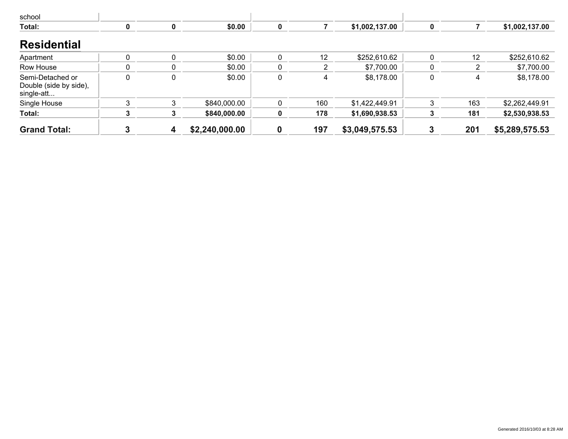| school                                                   |          |             |                |             |     |                |   |     |                |
|----------------------------------------------------------|----------|-------------|----------------|-------------|-----|----------------|---|-----|----------------|
| Total:                                                   | 0        | 0           | \$0.00         | $\mathbf 0$ |     | \$1,002,137.00 | 0 |     | \$1,002,137.00 |
| <b>Residential</b>                                       |          |             |                |             |     |                |   |     |                |
| Apartment                                                | $\Omega$ |             | \$0.00         | 0           | 12  | \$252,610.62   | 0 | 12  | \$252,610.62   |
| Row House                                                |          |             | \$0.00         | 0           |     | \$7,700.00     | 0 | ົ   | \$7,700.00     |
| Semi-Detached or<br>Double (side by side),<br>single-att | $\Omega$ | $\mathbf 0$ | \$0.00         | 0           | 4   | \$8,178.00     | 0 | 4   | \$8,178.00     |
| Single House                                             |          |             | \$840,000.00   |             | 160 | \$1,422,449.91 | 3 | 163 | \$2,262,449.91 |
| Total:                                                   |          |             | \$840,000.00   |             | 178 | \$1,690,938.53 |   | 181 | \$2,530,938.53 |
| <b>Grand Total:</b>                                      |          | 4           | \$2,240,000.00 | 0           | 197 | \$3,049,575.53 | 3 | 201 | \$5,289,575.53 |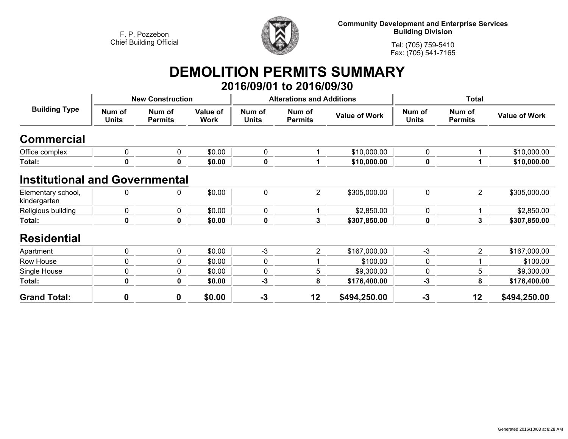

**Community Development and Enterprise Services Building Division**

**Tel: (705) 759-5410Fax: (705) 541-7165**

## **DEMOLITION PERMITS SUMMARY**

|                                       |                        |                          |                         |                        | 2016/09/01 to 2016/09/30         |                      |                        |                          |                      |
|---------------------------------------|------------------------|--------------------------|-------------------------|------------------------|----------------------------------|----------------------|------------------------|--------------------------|----------------------|
| <b>Building Type</b>                  |                        | <b>New Construction</b>  |                         |                        | <b>Alterations and Additions</b> |                      | <b>Total</b>           |                          |                      |
|                                       | Num of<br><b>Units</b> | Num of<br><b>Permits</b> | Value of<br><b>Work</b> | Num of<br><b>Units</b> | Num of<br><b>Permits</b>         | <b>Value of Work</b> | Num of<br><b>Units</b> | Num of<br><b>Permits</b> | <b>Value of Work</b> |
| <b>Commercial</b>                     |                        |                          |                         |                        |                                  |                      |                        |                          |                      |
| Office complex                        | 0                      | 0                        | \$0.00                  | $\mathbf 0$            |                                  | \$10,000.00          | $\mathbf 0$            | 1                        | \$10,000.00          |
| Total:                                | 0                      | 0                        | \$0.00                  | $\pmb{0}$              |                                  | \$10,000.00          | $\mathbf 0$            | 1                        | \$10,000.00          |
| <b>Institutional and Governmental</b> |                        |                          |                         |                        |                                  |                      |                        |                          |                      |
| Elementary school,<br>kindergarten    | $\Omega$               | 0                        | \$0.00                  | $\mathbf 0$            | $\overline{2}$                   | \$305,000.00         | $\mathbf 0$            | $\overline{2}$           | \$305,000.00         |
| Religious building                    | 0                      | 0                        | \$0.00                  | $\pmb{0}$              |                                  | \$2,850.00           | $\mathbf 0$            |                          | \$2,850.00           |
| Total:                                | 0                      | $\mathbf 0$              | \$0.00                  | $\pmb{0}$              | 3                                | \$307,850.00         | $\mathbf 0$            | 3                        | \$307,850.00         |
| <b>Residential</b>                    |                        |                          |                         |                        |                                  |                      |                        |                          |                      |
| Apartment                             | 0                      | 0                        | \$0.00                  | $-3$                   | $\overline{2}$                   | \$167,000.00         | $-3$                   | 2                        | \$167,000.00         |
| Row House                             | 0                      | 0                        | \$0.00                  | 0                      |                                  | \$100.00             | 0                      |                          | \$100.00             |
| Single House                          | 0                      | 0                        | \$0.00                  | 0                      | 5                                | \$9,300.00           | 0                      | 5                        | \$9,300.00           |
| Total:                                | 0                      | $\mathbf 0$              | \$0.00                  | $-3$                   | 8                                | \$176,400.00         | $-3$                   | 8                        | \$176,400.00         |
| <b>Grand Total:</b>                   | $\mathbf 0$            | $\boldsymbol{0}$         | \$0.00                  | $-3$                   | 12                               | \$494,250.00         | $-3$                   | 12                       | \$494,250.00         |